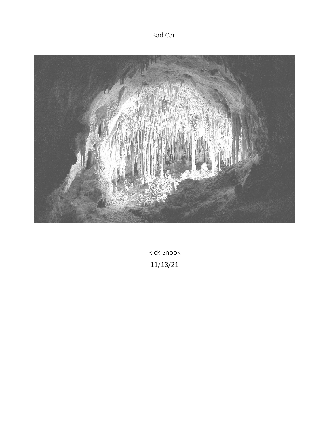Bad Carl



Rick Snook 11/18/21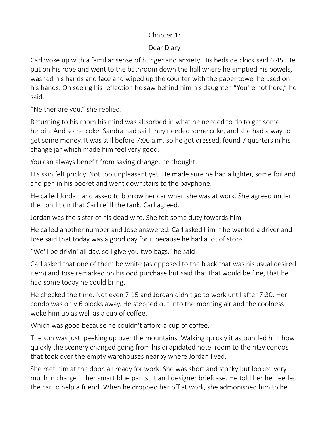### Chapter 1:

# Dear Diary

Carl woke up with a familiar sense of hunger and anxiety. His bedside clock said 6:45. He put on his robe and went to the bathroom down the hall where he emptied his bowels, washed his hands and face and wiped up the counter with the paper towel he used on his hands. On seeing his reflection he saw behind him his daughter. "You're not here," he said.

"Neither are you," she replied.

Returning to his room his mind was absorbed in what he needed to do to get some heroin. And some coke. Sandra had said they needed some coke, and she had a way to get some money. It was still before 7:00 a.m. so he got dressed, found 7 quarters in his change jar which made him feel very good.

You can always benefit from saving change, he thought.

His skin felt prickly. Not too unpleasant yet. He made sure he had a lighter, some foil and and pen in his pocket and went downstairs to the payphone.

He called Jordan and asked to borrow her car when she was at work. She agreed under the condition that Carl refill the tank. Carl agreed.

Jordan was the sister of his dead wife. She felt some duty towards him.

He called another number and Jose answered. Carl asked him if he wanted a driver and Jose said that today was a good day for it because he had a lot of stops.

"We'll be drivin' all day, so I give you two bags," he said.

Carl asked that one of them be white (as opposed to the black that was his usual desired item) and Jose remarked on his odd purchase but said that that would be fine, that he had some today he could bring.

He checked the time. Not even 7:15 and Jordan didn't go to work until after 7:30. Her condo was only 6 blocks away. He stepped out into the morning air and the coolness woke him up as well as a cup of coffee.

Which was good because he couldn't afford a cup of coffee.

The sun was just peeking up over the mountains. Walking quickly it astounded him how quickly the scenery changed going from his dilapidated hotel room to the ritzy condos that took over the empty warehouses nearby where Jordan lived.

She met him at the door, all ready for work. She was short and stocky but looked very much in charge in her smart blue pantsuit and designer briefcase. He told her he needed the car to help a friend. When he dropped her off at work, she admonished him to be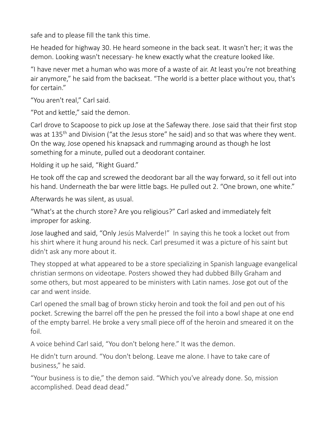safe and to please fill the tank this time.

He headed for highway 30. He heard someone in the back seat. It wasn't her; it was the demon. Looking wasn't necessary- he knew exactly what the creature looked like.

"I have never met a human who was more of a waste of air. At least you're not breathing air anymore," he said from the backseat. "The world is a better place without you, that's for certain."

"You aren't real," Carl said.

"Pot and kettle," said the demon.

Carl drove to Scapoose to pick up Jose at the Safeway there. Jose said that their first stop was at 135<sup>th</sup> and Division ("at the Jesus store" he said) and so that was where they went. On the way, Jose opened his knapsack and rummaging around as though he lost something for a minute, pulled out a deodorant container.

Holding it up he said, "Right Guard."

He took off the cap and screwed the deodorant bar all the way forward, so it fell out into his hand. Underneath the bar were little bags. He pulled out 2. "One brown, one white."

Afterwards he was silent, as usual.

"What's at the church store? Are you religious?" Carl asked and immediately felt improper for asking.

Jose laughed and said, "Only Jesús Malverde!" In saying this he took a locket out from his shirt where it hung around his neck. Carl presumed it was a picture of his saint but didn't ask any more about it.

They stopped at what appeared to be a store specializing in Spanish language evangelical christian sermons on videotape. Posters showed they had dubbed Billy Graham and some others, but most appeared to be ministers with Latin names. Jose got out of the car and went inside.

Carl opened the small bag of brown sticky heroin and took the foil and pen out of his pocket. Screwing the barrel off the pen he pressed the foil into a bowl shape at one end of the empty barrel. He broke a very small piece off of the heroin and smeared it on the foil.

A voice behind Carl said, "You don't belong here." It was the demon.

He didn't turn around. "You don't belong. Leave me alone. I have to take care of business," he said.

"Your business is to die," the demon said. "Which you've already done. So, mission accomplished. Dead dead dead."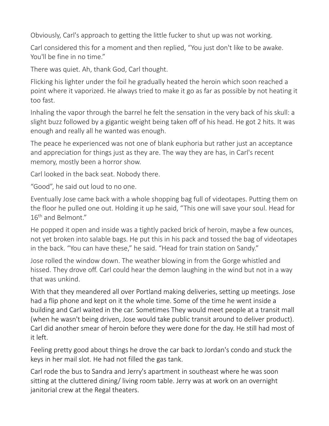Obviously, Carl's approach to getting the little fucker to shut up was not working.

Carl considered this for a moment and then replied, "You just don't like to be awake. You'll be fine in no time."

There was quiet. Ah, thank God, Carl thought.

Flicking his lighter under the foil he gradually heated the heroin which soon reached a point where it vaporized. He always tried to make it go as far as possible by not heating it too fast.

Inhaling the vapor through the barrel he felt the sensation in the very back of his skull: a slight buzz followed by a gigantic weight being taken off of his head. He got 2 hits. It was enough and really all he wanted was enough.

The peace he experienced was not one of blank euphoria but rather just an acceptance and appreciation for things just as they are. The way they are has, in Carl's recent memory, mostly been a horror show.

Carl looked in the back seat. Nobody there.

"Good", he said out loud to no one.

Eventually Jose came back with a whole shopping bag full of videotapes. Putting them on the floor he pulled one out. Holding it up he said, "This one will save your soul. Head for 16<sup>th</sup> and Belmont."

He popped it open and inside was a tightly packed brick of heroin, maybe a few ounces, not yet broken into salable bags. He put this in his pack and tossed the bag of videotapes in the back. "You can have these," he said. "Head for train station on Sandy."

Jose rolled the window down. The weather blowing in from the Gorge whistled and hissed. They drove off. Carl could hear the demon laughing in the wind but not in a way that was unkind.

With that they meandered all over Portland making deliveries, setting up meetings. Jose had a flip phone and kept on it the whole time. Some of the time he went inside a building and Carl waited in the car. Sometimes They would meet people at a transit mall (when he wasn't being driven, Jose would take public transit around to deliver product). Carl did another smear of heroin before they were done for the day. He still had most of it left.

Feeling pretty good about things he drove the car back to Jordan's condo and stuck the keys in her mail slot. He had not filled the gas tank.

Carl rode the bus to Sandra and Jerry's apartment in southeast where he was soon sitting at the cluttered dining/ living room table. Jerry was at work on an overnight janitorial crew at the Regal theaters.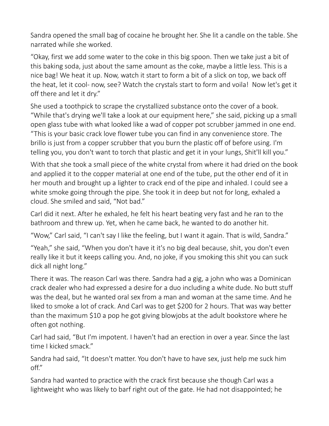Sandra opened the small bag of cocaine he brought her. She lit a candle on the table. She narrated while she worked.

"Okay, first we add some water to the coke in this big spoon. Then we take just a bit of this baking soda, just about the same amount as the coke, maybe a little less. This is a nice bag! We heat it up. Now, watch it start to form a bit of a slick on top, we back off the heat, let it cool- now, see? Watch the crystals start to form and voila! Now let's get it off there and let it dry."

She used a toothpick to scrape the crystallized substance onto the cover of a book. "While that's drying we'll take a look at our equipment here," she said, picking up a small open glass tube with what looked like a wad of copper pot scrubber jammed in one end. "This is your basic crack love flower tube you can find in any convenience store. The brillo is just from a copper scrubber that you burn the plastic off of before using. I'm telling you, you don't want to torch that plastic and get it in your lungs, Shit'll kill you."

With that she took a small piece of the white crystal from where it had dried on the book and applied it to the copper material at one end of the tube, put the other end of it in her mouth and brought up a lighter to crack end of the pipe and inhaled. I could see a white smoke going through the pipe. She took it in deep but not for long, exhaled a cloud. She smiled and said, "Not bad."

Carl did it next. After he exhaled, he felt his heart beating very fast and he ran to the bathroom and threw up. Yet, when he came back, he wanted to do another hit.

"Wow," Carl said, "I can't say I like the feeling, but I want it again. That is wild, Sandra."

"Yeah," she said, "When you don't have it it's no big deal because, shit, you don't even really like it but it keeps calling you. And, no joke, if you smoking this shit you can suck dick all night long."

There it was. The reason Carl was there. Sandra had a gig, a john who was a Dominican crack dealer who had expressed a desire for a duo including a white dude. No butt stuff was the deal, but he wanted oral sex from a man and woman at the same time. And he liked to smoke a lot of crack. And Carl was to get \$200 for 2 hours. That was way better than the maximum \$10 a pop he got giving blowjobs at the adult bookstore where he often got nothing.

Carl had said, "But I'm impotent. I haven't had an erection in over a year. Since the last time I kicked smack."

Sandra had said, "It doesn't matter. You don't have to have sex, just help me suck him off."

Sandra had wanted to practice with the crack first because she though Carl was a lightweight who was likely to barf right out of the gate. He had not disappointed; he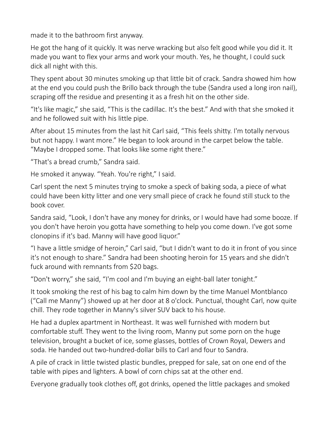made it to the bathroom first anyway.

He got the hang of it quickly. It was nerve wracking but also felt good while you did it. It made you want to flex your arms and work your mouth. Yes, he thought, I could suck dick all night with this.

They spent about 30 minutes smoking up that little bit of crack. Sandra showed him how at the end you could push the Brillo back through the tube (Sandra used a long iron nail), scraping off the residue and presenting it as a fresh hit on the other side.

"It's like magic," she said, "This is the cadillac. It's the best." And with that she smoked it and he followed suit with his little pipe.

After about 15 minutes from the last hit Carl said, "This feels shitty. I'm totally nervous but not happy. I want more." He began to look around in the carpet below the table. "Maybe I dropped some. That looks like some right there."

"That's a bread crumb," Sandra said.

He smoked it anyway. "Yeah. You're right," I said.

Carl spent the next 5 minutes trying to smoke a speck of baking soda, a piece of what could have been kitty litter and one very small piece of crack he found still stuck to the book cover.

Sandra said, "Look, I don't have any money for drinks, or I would have had some booze. If you don't have heroin you gotta have something to help you come down. I've got some clonopins if it's bad. Manny will have good liquor."

"I have a little smidge of heroin," Carl said, "but I didn't want to do it in front of you since it's not enough to share." Sandra had been shooting heroin for 15 years and she didn't fuck around with remnants from \$20 bags.

"Don't worry," she said, "I'm cool and I'm buying an eight-ball later tonight."

It took smoking the rest of his bag to calm him down by the time Manuel Montblanco ("Call me Manny") showed up at her door at 8 o'clock. Punctual, thought Carl, now quite chill. They rode together in Manny's silver SUV back to his house.

He had a duplex apartment in Northeast. It was well furnished with modern but comfortable stuff. They went to the living room, Manny put some porn on the huge television, brought a bucket of ice, some glasses, bottles of Crown Royal, Dewers and soda. He handed out two-hundred-dollar bills to Carl and four to Sandra.

A pile of crack in little twisted plastic bundles, prepped for sale, sat on one end of the table with pipes and lighters. A bowl of corn chips sat at the other end.

Everyone gradually took clothes off, got drinks, opened the little packages and smoked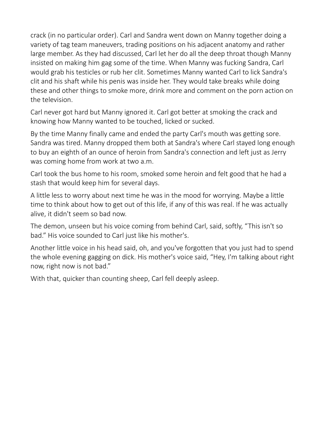crack (in no particular order). Carl and Sandra went down on Manny together doing a variety of tag team maneuvers, trading positions on his adjacent anatomy and rather large member. As they had discussed, Carl let her do all the deep throat though Manny insisted on making him gag some of the time. When Manny was fucking Sandra, Carl would grab his testicles or rub her clit. Sometimes Manny wanted Carl to lick Sandra's clit and his shaft while his penis was inside her. They would take breaks while doing these and other things to smoke more, drink more and comment on the porn action on the television.

Carl never got hard but Manny ignored it. Carl got better at smoking the crack and knowing how Manny wanted to be touched, licked or sucked.

By the time Manny finally came and ended the party Carl's mouth was getting sore. Sandra was tired. Manny dropped them both at Sandra's where Carl stayed long enough to buy an eighth of an ounce of heroin from Sandra's connection and left just as Jerry was coming home from work at two a.m.

Carl took the bus home to his room, smoked some heroin and felt good that he had a stash that would keep him for several days.

A little less to worry about next time he was in the mood for worrying. Maybe a little time to think about how to get out of this life, if any of this was real. If he was actually alive, it didn't seem so bad now.

The demon, unseen but his voice coming from behind Carl, said, softly, "This isn't so bad." His voice sounded to Carl just like his mother's.

Another little voice in his head said, oh, and you've forgotten that you just had to spend the whole evening gagging on dick. His mother's voice said, "Hey, I'm talking about right now, right now is not bad."

With that, quicker than counting sheep, Carl fell deeply asleep.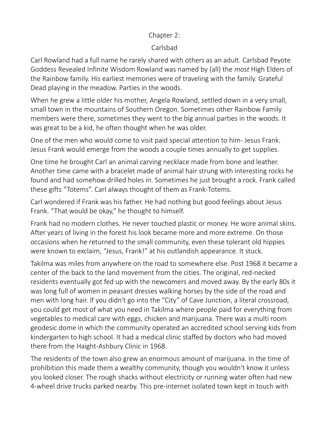#### Chapter 2:

### Carlsbad

Carl Rowland had a full name he rarely shared with others as an adult. Carlsbad Peyote Goddess Revealed Infinite Wisdom Rowland was named by (all) the *most* High Elders of the Rainbow family. His earliest memories were of traveling with the family. Grateful Dead playing in the meadow. Parties in the woods.

When he grew a little older his mother, Angela Rowland, settled down in a very small, small town in the mountains of Southern Oregon. Sometimes other Rainbow Family members were there, sometimes they went to the big annual parties in the woods. It was great to be a kid, he often thought when he was older.

One of the men who would come to visit paid special attention to him- Jesus Frank. Jesus Frank would emerge from the woods a couple times annually to get supplies.

One time he brought Carl an animal carving necklace made from bone and leather. Another time came with a bracelet made of animal hair strung with interesting rocks he found and had somehow drilled holes in. Sometimes he just brought a rock. Frank called these gifts "Totems". Carl always thought of them as Frank-Totems.

Carl wondered if Frank was his father. He had nothing but good feelings about Jesus Frank. "That would be okay," he thought to himself.

Frank had no modern clothes. He never touched plastic or money. He wore animal skins. After years of living in the forest his look became more and more extreme. On those occasions when he returned to the small community, even these tolerant old hippies were known to exclaim, "Jesus, Frank!" at his outlandish appearance. It stuck.

Takilma was miles from anywhere on the road to somewhere else. Post 1968 it became a center of the back to the land movement from the cities. The original, red-necked residents eventually got fed up with the newcomers and moved away. By the early 80s it was long full of women in peasant dresses walking horses by the side of the road and men with long hair. If you didn't go into the "City" of Cave Junction, a literal crossroad, you could get most of what you need in Takilma where people paid for everything from vegetables to medical care with eggs, chicken and marijuana. There was a multi room geodesic dome in which the community operated an accredited school serving kids from kindergarten to high school. It had a medical clinic staffed by doctors who had moved there from the Haight-Ashbury Clinic in 1968.

The residents of the town also grew an enormous amount of marijuana. In the time of prohibition this made them a wealthy community, though you wouldn't know it unless you looked closer. The rough shacks without electricity or running water often had new 4-wheel drive trucks parked nearby. This pre-internet isolated town kept in touch with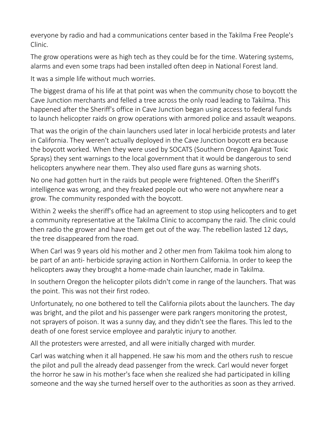everyone by radio and had a communications center based in the Takilma Free People's Clinic.

The grow operations were as high tech as they could be for the time. Watering systems, alarms and even some traps had been installed often deep in National Forest land.

It was a simple life without much worries.

The biggest drama of his life at that point was when the community chose to boycott the Cave Junction merchants and felled a tree across the only road leading to Takilma. This happened after the Sheriff's office in Cave Junction began using access to federal funds to launch helicopter raids on grow operations with armored police and assault weapons.

That was the origin of the chain launchers used later in local herbicide protests and later in California. They weren't actually deployed in the Cave Junction boycott era because the boycott worked. When they were used by SOCATS (Southern Oregon Against Toxic Sprays) they sent warnings to the local government that it would be dangerous to send helicopters anywhere near them. They also used flare guns as warning shots.

No one had gotten hurt in the raids but people were frightened. Often the Sheriff's intelligence was wrong, and they freaked people out who were not anywhere near a grow. The community responded with the boycott.

Within 2 weeks the sheriff's office had an agreement to stop using helicopters and to get a community representative at the Takilma Clinic to accompany the raid. The clinic could then radio the grower and have them get out of the way. The rebellion lasted 12 days, the tree disappeared from the road.

When Carl was 9 years old his mother and 2 other men from Takilma took him along to be part of an anti- herbicide spraying action in Northern California. In order to keep the helicopters away they brought a home-made chain launcher, made in Takilma.

In southern Oregon the helicopter pilots didn't come in range of the launchers. That was the point. This was not their first rodeo.

Unfortunately, no one bothered to tell the California pilots about the launchers. The day was bright, and the pilot and his passenger were park rangers monitoring the protest, not sprayers of poison. It was a sunny day, and they didn't see the flares. This led to the death of one forest service employee and paralytic injury to another.

All the protesters were arrested, and all were initially charged with murder.

Carl was watching when it all happened. He saw his mom and the others rush to rescue the pilot and pull the already dead passenger from the wreck. Carl would never forget the horror he saw in his mother's face when she realized she had participated in killing someone and the way she turned herself over to the authorities as soon as they arrived.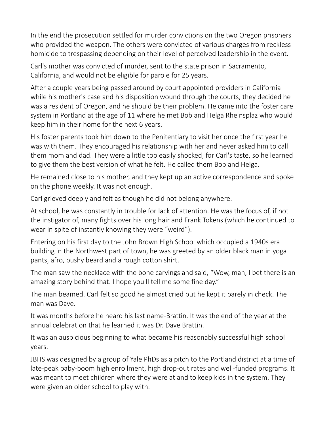In the end the prosecution settled for murder convictions on the two Oregon prisoners who provided the weapon. The others were convicted of various charges from reckless homicide to trespassing depending on their level of perceived leadership in the event.

Carl's mother was convicted of murder, sent to the state prison in Sacramento, California, and would not be eligible for parole for 25 years.

After a couple years being passed around by court appointed providers in California while his mother's case and his disposition wound through the courts, they decided he was a resident of Oregon, and he should be their problem. He came into the foster care system in Portland at the age of 11 where he met Bob and Helga Rheinsplaz who would keep him in their home for the next 6 years.

His foster parents took him down to the Penitentiary to visit her once the first year he was with them. They encouraged his relationship with her and never asked him to call them mom and dad. They were a little too easily shocked, for Carl's taste, so he learned to give them the best version of what he felt. He called them Bob and Helga.

He remained close to his mother, and they kept up an active correspondence and spoke on the phone weekly. It was not enough.

Carl grieved deeply and felt as though he did not belong anywhere.

At school, he was constantly in trouble for lack of attention. He was the focus of, if not the instigator of, many fights over his long hair and Frank Tokens (which he continued to wear in spite of instantly knowing they were "weird").

Entering on his first day to the John Brown High School which occupied a 1940s era building in the Northwest part of town, he was greeted by an older black man in yoga pants, afro, bushy beard and a rough cotton shirt.

The man saw the necklace with the bone carvings and said, "Wow, man, I bet there is an amazing story behind that. I hope you'll tell me some fine day."

The man beamed. Carl felt so good he almost cried but he kept it barely in check. The man was Dave.

It was months before he heard his last name-Brattin. It was the end of the year at the annual celebration that he learned it was Dr. Dave Brattin.

It was an auspicious beginning to what became his reasonably successful high school years.

JBHS was designed by a group of Yale PhDs as a pitch to the Portland district at a time of late-peak baby-boom high enrollment, high drop-out rates and well-funded programs. It was meant to meet children where they were at and to keep kids in the system. They were given an older school to play with.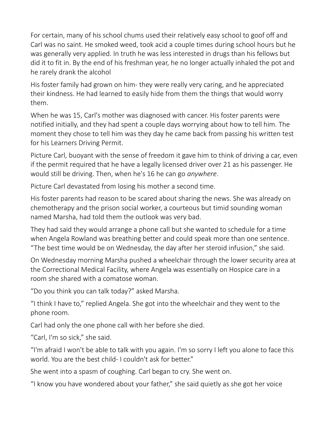For certain, many of his school chums used their relatively easy school to goof off and Carl was no saint. He smoked weed, took acid a couple times during school hours but he was generally very applied. In truth he was less interested in drugs than his fellows but did it to fit in. By the end of his freshman year, he no longer actually inhaled the pot and he rarely drank the alcohol

His foster family had grown on him- they were really very caring, and he appreciated their kindness. He had learned to easily hide from them the things that would worry them.

When he was 15, Carl's mother was diagnosed with cancer. His foster parents were notified initially, and they had spent a couple days worrying about how to tell him. The moment they chose to tell him was they day he came back from passing his written test for his Learners Driving Permit.

Picture Carl, buoyant with the sense of freedom it gave him to think of driving a car, even if the permit required that he have a legally licensed driver over 21 as his passenger. He would still be driving. Then, when he's 16 he can go *anywhere*.

Picture Carl devastated from losing his mother a second time.

His foster parents had reason to be scared about sharing the news. She was already on chemotherapy and the prison social worker, a courteous but timid sounding woman named Marsha, had told them the outlook was very bad.

They had said they would arrange a phone call but she wanted to schedule for a time when Angela Rowland was breathing better and could speak more than one sentence. "The best time would be on Wednesday, the day after her steroid infusion," she said.

On Wednesday morning Marsha pushed a wheelchair through the lower security area at the Correctional Medical Facility, where Angela was essentially on Hospice care in a room she shared with a comatose woman.

"Do you think you can talk today?" asked Marsha.

"I think I have to," replied Angela. She got into the wheelchair and they went to the phone room.

Carl had only the one phone call with her before she died.

"Carl, I'm so sick," she said.

"I'm afraid I won't be able to talk with you again. I'm so sorry I left you alone to face this world. You are the best child- I couldn't ask for better."

She went into a spasm of coughing. Carl began to cry. She went on.

"I know you have wondered about your father," she said quietly as she got her voice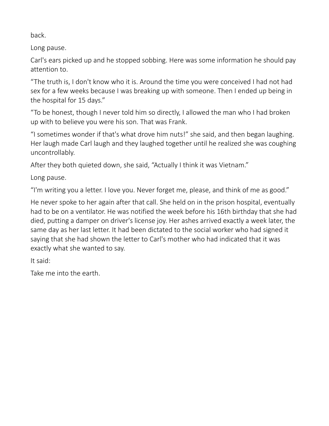back.

Long pause.

Carl's ears picked up and he stopped sobbing. Here was some information he should pay attention to.

"The truth is, I don't know who it is. Around the time you were conceived I had not had sex for a few weeks because I was breaking up with someone. Then I ended up being in the hospital for 15 days."

"To be honest, though I never told him so directly, I allowed the man who I had broken up with to believe you were his son. That was Frank.

"I sometimes wonder if that's what drove him nuts!" she said, and then began laughing. Her laugh made Carl laugh and they laughed together until he realized she was coughing uncontrollably.

After they both quieted down, she said, "Actually I think it was Vietnam."

Long pause.

"I'm writing you a letter. I love you. Never forget me, please, and think of me as good."

He never spoke to her again after that call. She held on in the prison hospital, eventually had to be on a ventilator. He was notified the week before his 16th birthday that she had died, putting a damper on driver's license joy. Her ashes arrived exactly a week later, the same day as her last letter. It had been dictated to the social worker who had signed it saying that she had shown the letter to Carl's mother who had indicated that it was exactly what she wanted to say.

It said:

Take me into the earth.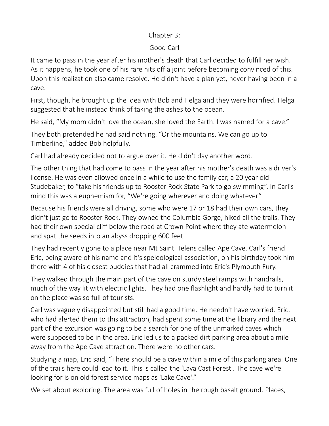### Chapter 3:

# Good Carl

It came to pass in the year after his mother's death that Carl decided to fulfill her wish. As it happens, he took one of his rare hits off a joint before becoming convinced of this. Upon this realization also came resolve. He didn't have a plan yet, never having been in a cave.

First, though, he brought up the idea with Bob and Helga and they were horrified. Helga suggested that he instead think of taking the ashes to the ocean.

He said, "My mom didn't love the ocean, she loved the Earth. I was named for a cave."

They both pretended he had said nothing. "Or the mountains. We can go up to Timberline," added Bob helpfully.

Carl had already decided not to argue over it. He didn't day another word.

The other thing that had come to pass in the year after his mother's death was a driver's license. He was even allowed once in a while to use the family car, a 20 year old Studebaker, to "take his friends up to Rooster Rock State Park to go swimming". In Carl's mind this was a euphemism for, "We're going wherever and doing whatever".

Because his friends were all driving, some who were 17 or 18 had their own cars, they didn't just go to Rooster Rock. They owned the Columbia Gorge, hiked all the trails. They had their own special cliff below the road at Crown Point where they ate watermelon and spat the seeds into an abyss dropping 600 feet.

They had recently gone to a place near Mt Saint Helens called Ape Cave. Carl's friend Eric, being aware of his name and it's speleological association, on his birthday took him there with 4 of his closest buddies that had all crammed into Eric's Plymouth Fury.

They walked through the main part of the cave on sturdy steel ramps with handrails, much of the way lit with electric lights. They had one flashlight and hardly had to turn it on the place was so full of tourists.

Carl was vaguely disappointed but still had a good time. He needn't have worried. Eric, who had alerted them to this attraction, had spent some time at the library and the next part of the excursion was going to be a search for one of the unmarked caves which were supposed to be in the area. Eric led us to a packed dirt parking area about a mile away from the Ape Cave attraction. There were no other cars.

Studying a map, Eric said, "There should be a cave within a mile of this parking area. One of the trails here could lead to it. This is called the 'Lava Cast Forest'. The cave we're looking for is on old forest service maps as 'Lake Cave'."

We set about exploring. The area was full of holes in the rough basalt ground. Places,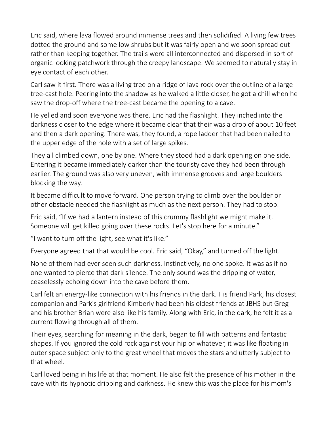Eric said, where lava flowed around immense trees and then solidified. A living few trees dotted the ground and some low shrubs but it was fairly open and we soon spread out rather than keeping together. The trails were all interconnected and dispersed in sort of organic looking patchwork through the creepy landscape. We seemed to naturally stay in eye contact of each other.

Carl saw it first. There was a living tree on a ridge of lava rock over the outline of a large tree-cast hole. Peering into the shadow as he walked a little closer, he got a chill when he saw the drop-off where the tree-cast became the opening to a cave.

He yelled and soon everyone was there. Eric had the flashlight. They inched into the darkness closer to the edge where it became clear that their was a drop of about 10 feet and then a dark opening. There was, they found, a rope ladder that had been nailed to the upper edge of the hole with a set of large spikes.

They all climbed down, one by one. Where they stood had a dark opening on one side. Entering it became immediately darker than the touristy cave they had been through earlier. The ground was also very uneven, with immense grooves and large boulders blocking the way.

It became difficult to move forward. One person trying to climb over the boulder or other obstacle needed the flashlight as much as the next person. They had to stop.

Eric said, "If we had a lantern instead of this crummy flashlight we might make it. Someone will get killed going over these rocks. Let's stop here for a minute."

"I want to turn off the light, see what it's like."

Everyone agreed that that would be cool. Eric said, "Okay," and turned off the light.

None of them had ever seen such darkness. Instinctively, no one spoke. It was as if no one wanted to pierce that dark silence. The only sound was the dripping of water, ceaselessly echoing down into the cave before them.

Carl felt an energy-like connection with his friends in the dark. His friend Park, his closest companion and Park's girlfriend Kimberly had been his oldest friends at JBHS but Greg and his brother Brian were also like his family. Along with Eric, in the dark, he felt it as a current flowing through all of them.

Their eyes, searching for meaning in the dark, began to fill with patterns and fantastic shapes. If you ignored the cold rock against your hip or whatever, it was like floating in outer space subject only to the great wheel that moves the stars and utterly subject to that wheel.

Carl loved being in his life at that moment. He also felt the presence of his mother in the cave with its hypnotic dripping and darkness. He knew this was the place for his mom's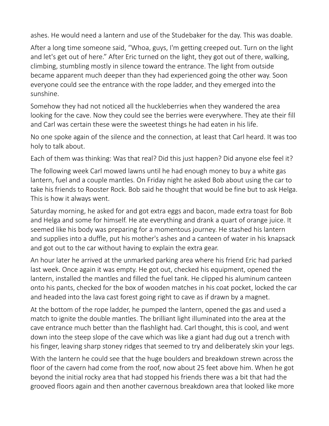ashes. He would need a lantern and use of the Studebaker for the day. This was doable.

After a long time someone said, "Whoa, guys, I'm getting creeped out. Turn on the light and let's get out of here." After Eric turned on the light, they got out of there, walking, climbing, stumbling mostly in silence toward the entrance. The light from outside became apparent much deeper than they had experienced going the other way. Soon everyone could see the entrance with the rope ladder, and they emerged into the sunshine.

Somehow they had not noticed all the huckleberries when they wandered the area looking for the cave. Now they could see the berries were everywhere. They ate their fill and Carl was certain these were the sweetest things he had eaten in his life.

No one spoke again of the silence and the connection, at least that Carl heard. It was too holy to talk about.

Each of them was thinking: Was that real? Did this just happen? Did anyone else feel it?

The following week Carl mowed lawns until he had enough money to buy a white gas lantern, fuel and a couple mantles. On Friday night he asked Bob about using the car to take his friends to Rooster Rock. Bob said he thought that would be fine but to ask Helga. This is how it always went.

Saturday morning, he asked for and got extra eggs and bacon, made extra toast for Bob and Helga and some for himself. He ate everything and drank a quart of orange juice. It seemed like his body was preparing for a momentous journey. He stashed his lantern and supplies into a duffle, put his mother's ashes and a canteen of water in his knapsack and got out to the car without having to explain the extra gear.

An hour later he arrived at the unmarked parking area where his friend Eric had parked last week. Once again it was empty. He got out, checked his equipment, opened the lantern, installed the mantles and filled the fuel tank. He clipped his aluminum canteen onto his pants, checked for the box of wooden matches in his coat pocket, locked the car and headed into the lava cast forest going right to cave as if drawn by a magnet.

At the bottom of the rope ladder, he pumped the lantern, opened the gas and used a match to ignite the double mantles. The brilliant light illuminated into the area at the cave entrance much better than the flashlight had. Carl thought, this is cool, and went down into the steep slope of the cave which was like a giant had dug out a trench with his finger, leaving sharp stoney ridges that seemed to try and deliberately skin your legs.

With the lantern he could see that the huge boulders and breakdown strewn across the floor of the cavern had come from the roof, now about 25 feet above him. When he got beyond the initial rocky area that had stopped his friends there was a bit that had the grooved floors again and then another cavernous breakdown area that looked like more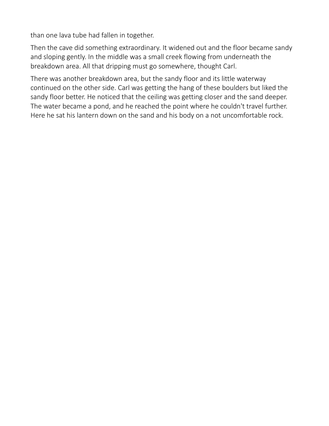than one lava tube had fallen in together.

Then the cave did something extraordinary. It widened out and the floor became sandy and sloping gently. In the middle was a small creek flowing from underneath the breakdown area. All that dripping must go somewhere, thought Carl.

There was another breakdown area, but the sandy floor and its little waterway continued on the other side. Carl was getting the hang of these boulders but liked the sandy floor better. He noticed that the ceiling was getting closer and the sand deeper. The water became a pond, and he reached the point where he couldn't travel further. Here he sat his lantern down on the sand and his body on a not uncomfortable rock.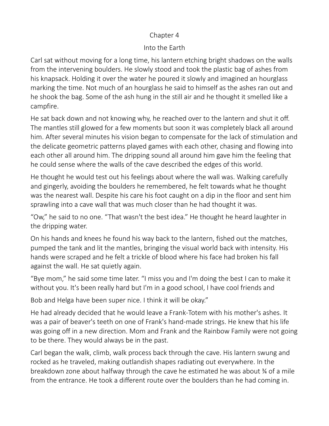#### Chapter 4

#### Into the Earth

Carl sat without moving for a long time, his lantern etching bright shadows on the walls from the intervening boulders. He slowly stood and took the plastic bag of ashes from his knapsack. Holding it over the water he poured it slowly and imagined an hourglass marking the time. Not much of an hourglass he said to himself as the ashes ran out and he shook the bag. Some of the ash hung in the still air and he thought it smelled like a campfire.

He sat back down and not knowing why, he reached over to the lantern and shut it off. The mantles still glowed for a few moments but soon it was completely black all around him. After several minutes his vision began to compensate for the lack of stimulation and the delicate geometric patterns played games with each other, chasing and flowing into each other all around him. The dripping sound all around him gave him the feeling that he could sense where the walls of the cave described the edges of this world.

He thought he would test out his feelings about where the wall was. Walking carefully and gingerly, avoiding the boulders he remembered, he felt towards what he thought was the nearest wall. Despite his care his foot caught on a dip in the floor and sent him sprawling into a cave wall that was much closer than he had thought it was.

"Ow," he said to no one. "That wasn't the best idea." He thought he heard laughter in the dripping water.

On his hands and knees he found his way back to the lantern, fished out the matches, pumped the tank and lit the mantles, bringing the visual world back with intensity. His hands were scraped and he felt a trickle of blood where his face had broken his fall against the wall. He sat quietly again.

"Bye mom," he said some time later. "I miss you and I'm doing the best I can to make it without you. It's been really hard but I'm in a good school, I have cool friends and

Bob and Helga have been super nice. I think it will be okay."

He had already decided that he would leave a Frank-Totem with his mother's ashes. It was a pair of beaver's teeth on one of Frank's hand-made strings. He knew that his life was going off in a new direction. Mom and Frank and the Rainbow Family were not going to be there. They would always be in the past.

Carl began the walk, climb, walk process back through the cave. His lantern swung and rocked as he traveled, making outlandish shapes radiating out everywhere. In the breakdown zone about halfway through the cave he estimated he was about ¾ of a mile from the entrance. He took a different route over the boulders than he had coming in.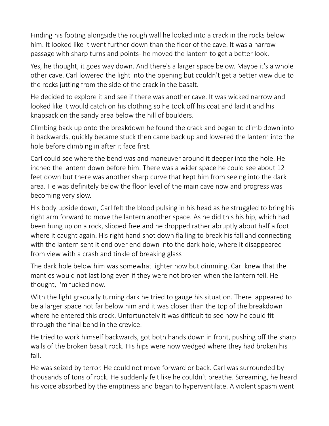Finding his footing alongside the rough wall he looked into a crack in the rocks below him. It looked like it went further down than the floor of the cave. It was a narrow passage with sharp turns and points- he moved the lantern to get a better look.

Yes, he thought, it goes way down. And there's a larger space below. Maybe it's a whole other cave. Carl lowered the light into the opening but couldn't get a better view due to the rocks jutting from the side of the crack in the basalt.

He decided to explore it and see if there was another cave. It was wicked narrow and looked like it would catch on his clothing so he took off his coat and laid it and his knapsack on the sandy area below the hill of boulders.

Climbing back up onto the breakdown he found the crack and began to climb down into it backwards, quickly became stuck then came back up and lowered the lantern into the hole before climbing in after it face first.

Carl could see where the bend was and maneuver around it deeper into the hole. He inched the lantern down before him. There was a wider space he could see about 12 feet down but there was another sharp curve that kept him from seeing into the dark area. He was definitely below the floor level of the main cave now and progress was becoming very slow.

His body upside down, Carl felt the blood pulsing in his head as he struggled to bring his right arm forward to move the lantern another space. As he did this his hip, which had been hung up on a rock, slipped free and he dropped rather abruptly about half a foot where it caught again. His right hand shot down flailing to break his fall and connecting with the lantern sent it end over end down into the dark hole, where it disappeared from view with a crash and tinkle of breaking glass

The dark hole below him was somewhat lighter now but dimming. Carl knew that the mantles would not last long even if they were not broken when the lantern fell. He thought, I'm fucked now.

With the light gradually turning dark he tried to gauge his situation. There appeared to be a larger space not far below him and it was closer than the top of the breakdown where he entered this crack. Unfortunately it was difficult to see how he could fit through the final bend in the crevice.

He tried to work himself backwards, got both hands down in front, pushing off the sharp walls of the broken basalt rock. His hips were now wedged where they had broken his fall.

He was seized by terror. He could not move forward or back. Carl was surrounded by thousands of tons of rock. He suddenly felt like he couldn't breathe. Screaming, he heard his voice absorbed by the emptiness and began to hyperventilate. A violent spasm went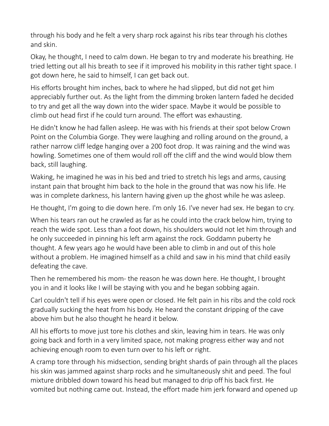through his body and he felt a very sharp rock against his ribs tear through his clothes and skin.

Okay, he thought, I need to calm down. He began to try and moderate his breathing. He tried letting out all his breath to see if it improved his mobility in this rather tight space. I got down here, he said to himself, I can get back out.

His efforts brought him inches, back to where he had slipped, but did not get him appreciably further out. As the light from the dimming broken lantern faded he decided to try and get all the way down into the wider space. Maybe it would be possible to climb out head first if he could turn around. The effort was exhausting.

He didn't know he had fallen asleep. He was with his friends at their spot below Crown Point on the Columbia Gorge. They were laughing and rolling around on the ground, a rather narrow cliff ledge hanging over a 200 foot drop. It was raining and the wind was howling. Sometimes one of them would roll off the cliff and the wind would blow them back, still laughing.

Waking, he imagined he was in his bed and tried to stretch his legs and arms, causing instant pain that brought him back to the hole in the ground that was now his life. He was in complete darkness, his lantern having given up the ghost while he was asleep.

He thought, I'm going to die down here. I'm only 16. I've never had sex. He began to cry.

When his tears ran out he crawled as far as he could into the crack below him, trying to reach the wide spot. Less than a foot down, his shoulders would not let him through and he only succeeded in pinning his left arm against the rock. Goddamn puberty he thought. A few years ago he would have been able to climb in and out of this hole without a problem. He imagined himself as a child and saw in his mind that child easily defeating the cave.

Then he remembered his mom- the reason he was down here. He thought, I brought you in and it looks like I will be staying with you and he began sobbing again.

Carl couldn't tell if his eyes were open or closed. He felt pain in his ribs and the cold rock gradually sucking the heat from his body. He heard the constant dripping of the cave above him but he also thought he heard it below.

All his efforts to move just tore his clothes and skin, leaving him in tears. He was only going back and forth in a very limited space, not making progress either way and not achieving enough room to even turn over to his left or right.

A cramp tore through his midsection, sending bright shards of pain through all the places his skin was jammed against sharp rocks and he simultaneously shit and peed. The foul mixture dribbled down toward his head but managed to drip off his back first. He vomited but nothing came out. Instead, the effort made him jerk forward and opened up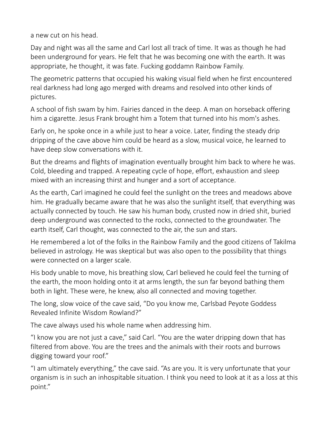a new cut on his head.

Day and night was all the same and Carl lost all track of time. It was as though he had been underground for years. He felt that he was becoming one with the earth. It was appropriate, he thought, it was fate. Fucking goddamn Rainbow Family.

The geometric patterns that occupied his waking visual field when he first encountered real darkness had long ago merged with dreams and resolved into other kinds of pictures.

A school of fish swam by him. Fairies danced in the deep. A man on horseback offering him a cigarette. Jesus Frank brought him a Totem that turned into his mom's ashes.

Early on, he spoke once in a while just to hear a voice. Later, finding the steady drip dripping of the cave above him could be heard as a slow, musical voice, he learned to have deep slow conversations with it.

But the dreams and flights of imagination eventually brought him back to where he was. Cold, bleeding and trapped. A repeating cycle of hope, effort, exhaustion and sleep mixed with an increasing thirst and hunger and a sort of acceptance.

As the earth, Carl imagined he could feel the sunlight on the trees and meadows above him. He gradually became aware that he was also the sunlight itself, that everything was actually connected by touch. He saw his human body, crusted now in dried shit, buried deep underground was connected to the rocks, connected to the groundwater. The earth itself, Carl thought, was connected to the air, the sun and stars.

He remembered a lot of the folks in the Rainbow Family and the good citizens of Takilma believed in astrology. He was skeptical but was also open to the possibility that things were connected on a larger scale.

His body unable to move, his breathing slow, Carl believed he could feel the turning of the earth, the moon holding onto it at arms length, the sun far beyond bathing them both in light. These were, he knew, also all connected and moving together.

The long, slow voice of the cave said, "Do you know me, Carlsbad Peyote Goddess Revealed Infinite Wisdom Rowland?"

The cave always used his whole name when addressing him.

"I know you are not just a cave," said Carl. "You are the water dripping down that has filtered from above. You are the trees and the animals with their roots and burrows digging toward your roof."

"I am ultimately everything," the cave said. "As are you. It is very unfortunate that your organism is in such an inhospitable situation. I think you need to look at it as a loss at this point."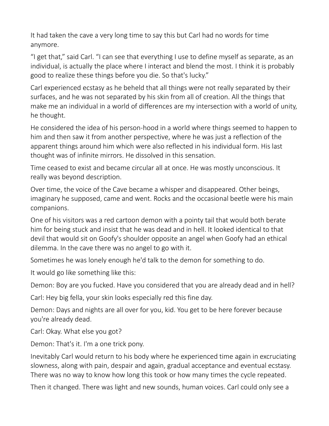It had taken the cave a very long time to say this but Carl had no words for time anymore.

"I get that," said Carl. "I can see that everything I use to define myself as separate, as an individual, is actually the place where I interact and blend the most. I think it is probably good to realize these things before you die. So that's lucky."

Carl experienced ecstasy as he beheld that all things were not really separated by their surfaces, and he was not separated by his skin from all of creation. All the things that make me an individual in a world of differences are my intersection with a world of unity, he thought.

He considered the idea of his person-hood in a world where things seemed to happen to him and then saw it from another perspective, where he was just a reflection of the apparent things around him which were also reflected in his individual form. His last thought was of infinite mirrors. He dissolved in this sensation.

Time ceased to exist and became circular all at once. He was mostly unconscious. It really was beyond description.

Over time, the voice of the Cave became a whisper and disappeared. Other beings, imaginary he supposed, came and went. Rocks and the occasional beetle were his main companions.

One of his visitors was a red cartoon demon with a pointy tail that would both berate him for being stuck and insist that he was dead and in hell. It looked identical to that devil that would sit on Goofy's shoulder opposite an angel when Goofy had an ethical dilemma. In the cave there was no angel to go with it.

Sometimes he was lonely enough he'd talk to the demon for something to do.

It would go like something like this:

Demon: Boy are you fucked. Have you considered that you are already dead and in hell?

Carl: Hey big fella, your skin looks especially red this fine day.

Demon: Days and nights are all over for you, kid. You get to be here forever because you're already dead.

Carl: Okay. What else you got?

Demon: That's it. I'm a one trick pony.

Inevitably Carl would return to his body where he experienced time again in excruciating slowness, along with pain, despair and again, gradual acceptance and eventual ecstasy. There was no way to know how long this took or how many times the cycle repeated.

Then it changed. There was light and new sounds, human voices. Carl could only see a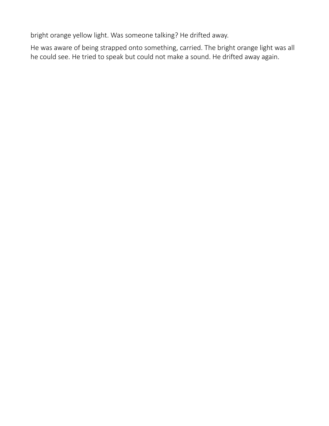bright orange yellow light. Was someone talking? He drifted away.

He was aware of being strapped onto something, carried. The bright orange light was all he could see. He tried to speak but could not make a sound. He drifted away again.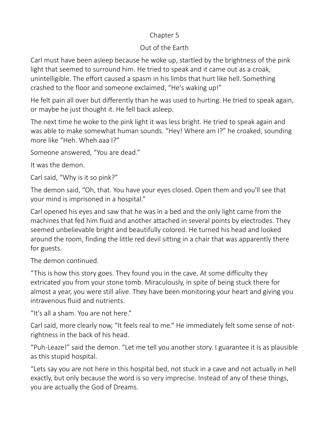## Chapter 5

# Out of the Earth

Carl must have been asleep because he woke up, startled by the brightness of the pink light that seemed to surround him. He tried to speak and it came out as a croak, unintelligible. The effort caused a spasm in his limbs that hurt like hell. Something crashed to the floor and someone exclaimed, "He's waking up!"

He felt pain all over but differently than he was used to hurting. He tried to speak again, or maybe he just thought it. He fell back asleep.

The next time he woke to the pink light it was less bright. He tried to speak again and was able to make somewhat human sounds. "Hey! Where am I?" he croaked, sounding more like "Heh. Wheh aaa I?"

Someone answered, "You are dead."

It was the demon.

Carl said, "Why is it so pink?"

The demon said, "Oh, that. You have your eyes closed. Open them and you'll see that your mind is imprisoned in a hospital."

Carl opened his eyes and saw that he was in a bed and the only light came from the machines that fed him fluid and another attached in several points by electrodes. They seemed unbelievable bright and beautifully colored. He turned his head and looked around the room, finding the little red devil sitting in a chair that was apparently there for guests.

The demon continued.

"This is how this story goes. They found you in the cave. At some difficulty they extricated you from your stone tomb. Miraculously, in spite of being stuck there for almost a year, you were still alive. They have been monitoring your heart and giving you intravenous fluid and nutrients.

"It's all a sham. You are not here."

Carl said, more clearly now, "It feels real to me." He immediately felt some sense of notrightness in the back of his head.

"Puh-Leaze!" said the demon. "Let me tell you another story. I guarantee it is as plausible as this stupid hospital.

"Lets say you are not here in this hospital bed, not stuck in a cave and not actually in hell exactly, but only because the word is so very imprecise. Instead of any of these things, you are actually the God of Dreams.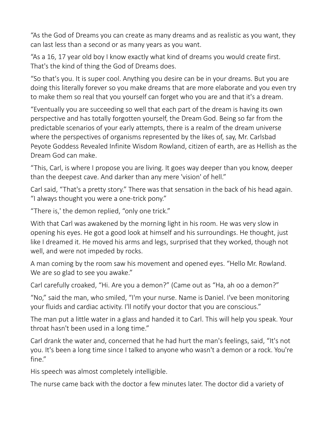"As the God of Dreams you can create as many dreams and as realistic as you want, they can last less than a second or as many years as you want.

"As a 16, 17 year old boy I know exactly what kind of dreams you would create first. That's the kind of thing the God of Dreams does.

"So that's you. It is super cool. Anything you desire can be in your dreams. But you are doing this literally forever so you make dreams that are more elaborate and you even try to make them so real that you yourself can forget who you are and that it's a dream.

"Eventually you are succeeding so well that each part of the dream is having its own perspective and has totally forgotten yourself, the Dream God. Being so far from the predictable scenarios of your early attempts, there is a realm of the dream universe where the perspectives of organisms represented by the likes of, say, Mr. Carlsbad Peyote Goddess Revealed Infinite Wisdom Rowland, citizen of earth, are as Hellish as the Dream God can make.

"This, Carl, is where I propose you are living. It goes way deeper than you know, deeper than the deepest cave. And darker than any mere 'vision' of hell."

Carl said, "That's a pretty story." There was that sensation in the back of his head again. "I always thought you were a one-trick pony."

"There is,' the demon replied, "only one trick."

With that Carl was awakened by the morning light in his room. He was very slow in opening his eyes. He got a good look at himself and his surroundings. He thought, just like I dreamed it. He moved his arms and legs, surprised that they worked, though not well, and were not impeded by rocks.

A man coming by the room saw his movement and opened eyes. "Hello Mr. Rowland. We are so glad to see you awake."

Carl carefully croaked, "Hi. Are you a demon?" (Came out as "Ha, ah oo a demon?"

"No," said the man, who smiled, "I'm your nurse. Name is Daniel. I've been monitoring your fluids and cardiac activity. I'll notify your doctor that you are conscious."

The man put a little water in a glass and handed it to Carl. This will help you speak. Your throat hasn't been used in a long time."

Carl drank the water and, concerned that he had hurt the man's feelings, said, "It's not you. It's been a long time since I talked to anyone who wasn't a demon or a rock. You're fine."

His speech was almost completely intelligible.

The nurse came back with the doctor a few minutes later. The doctor did a variety of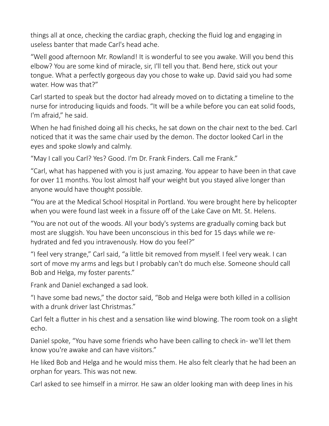things all at once, checking the cardiac graph, checking the fluid log and engaging in useless banter that made Carl's head ache.

"Well good afternoon Mr. Rowland! It is wonderful to see you awake. Will you bend this elbow? You are some kind of miracle, sir, I'll tell you that. Bend here, stick out your tongue. What a perfectly gorgeous day you chose to wake up. David said you had some water. How was that?"

Carl started to speak but the doctor had already moved on to dictating a timeline to the nurse for introducing liquids and foods. "It will be a while before you can eat solid foods, I'm afraid," he said.

When he had finished doing all his checks, he sat down on the chair next to the bed. Carl noticed that it was the same chair used by the demon. The doctor looked Carl in the eyes and spoke slowly and calmly.

"May I call you Carl? Yes? Good. I'm Dr. Frank Finders. Call me Frank."

"Carl, what has happened with you is just amazing. You appear to have been in that cave for over 11 months. You lost almost half your weight but you stayed alive longer than anyone would have thought possible.

"You are at the Medical School Hospital in Portland. You were brought here by helicopter when you were found last week in a fissure off of the Lake Cave on Mt. St. Helens.

"You are not out of the woods. All your body's systems are gradually coming back but most are sluggish. You have been unconscious in this bed for 15 days while we rehydrated and fed you intravenously. How do you feel?"

"I feel very strange," Carl said, "a little bit removed from myself. I feel very weak. I can sort of move my arms and legs but I probably can't do much else. Someone should call Bob and Helga, my foster parents."

Frank and Daniel exchanged a sad look.

"I have some bad news," the doctor said, "Bob and Helga were both killed in a collision with a drunk driver last Christmas."

Carl felt a flutter in his chest and a sensation like wind blowing. The room took on a slight echo.

Daniel spoke, "You have some friends who have been calling to check in- we'll let them know you're awake and can have visitors."

He liked Bob and Helga and he would miss them. He also felt clearly that he had been an orphan for years. This was not new.

Carl asked to see himself in a mirror. He saw an older looking man with deep lines in his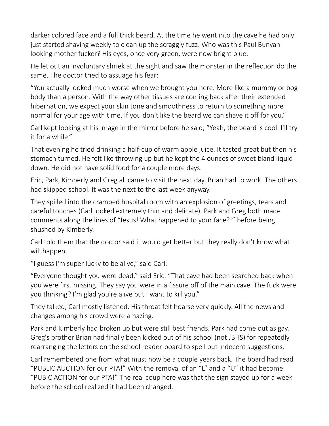darker colored face and a full thick beard. At the time he went into the cave he had only just started shaving weekly to clean up the scraggly fuzz. Who was this Paul Bunyanlooking mother fucker? His eyes, once very green, were now bright blue.

He let out an involuntary shriek at the sight and saw the monster in the reflection do the same. The doctor tried to assuage his fear:

"You actually looked much worse when we brought you here. More like a mummy or bog body than a person. With the way other tissues are coming back after their extended hibernation, we expect your skin tone and smoothness to return to something more normal for your age with time. If you don't like the beard we can shave it off for you."

Carl kept looking at his image in the mirror before he said, "Yeah, the beard is cool. I'll try it for a while."

That evening he tried drinking a half-cup of warm apple juice. It tasted great but then his stomach turned. He felt like throwing up but he kept the 4 ounces of sweet bland liquid down. He did not have solid food for a couple more days.

Eric, Park, Kimberly and Greg all came to visit the next day. Brian had to work. The others had skipped school. It was the next to the last week anyway.

They spilled into the cramped hospital room with an explosion of greetings, tears and careful touches (Carl looked extremely thin and delicate). Park and Greg both made comments along the lines of "Jesus! What happened to your face?!" before being shushed by Kimberly.

Carl told them that the doctor said it would get better but they really don't know what will happen.

"I guess I'm super lucky to be alive," said Carl.

"Everyone thought you were dead," said Eric. "That cave had been searched back when you were first missing. They say you were in a fissure off of the main cave. The fuck were you thinking? I'm glad you're alive but I want to kill you."

They talked, Carl mostly listened. His throat felt hoarse very quickly. All the news and changes among his crowd were amazing.

Park and Kimberly had broken up but were still best friends. Park had come out as gay. Greg's brother Brian had finally been kicked out of his school (not JBHS) for repeatedly rearranging the letters on the school reader-board to spell out indecent suggestions.

Carl remembered one from what must now be a couple years back. The board had read "PUBLIC AUCTION for our PTA!" With the removal of an "L" and a "U" it had become "PUBIC ACTION for our PTA!" The real coup here was that the sign stayed up for a week before the school realized it had been changed.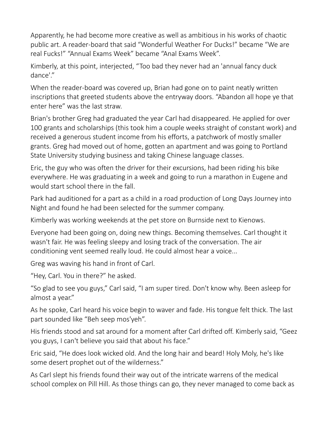Apparently, he had become more creative as well as ambitious in his works of chaotic public art. A reader-board that said "Wonderful Weather For Ducks!" became "We are real Fucks!" "Annual Exams Week" became "Anal Exams Week".

Kimberly, at this point, interjected, "Too bad they never had an 'annual fancy duck dance'."

When the reader-board was covered up, Brian had gone on to paint neatly written inscriptions that greeted students above the entryway doors. "Abandon all hope ye that enter here" was the last straw.

Brian's brother Greg had graduated the year Carl had disappeared. He applied for over 100 grants and scholarships (this took him a couple weeks straight of constant work) and received a generous student income from his efforts, a patchwork of mostly smaller grants. Greg had moved out of home, gotten an apartment and was going to Portland State University studying business and taking Chinese language classes.

Eric, the guy who was often the driver for their excursions, had been riding his bike everywhere. He was graduating in a week and going to run a marathon in Eugene and would start school there in the fall.

Park had auditioned for a part as a child in a road production of Long Days Journey into Night and found he had been selected for the summer company.

Kimberly was working weekends at the pet store on Burnside next to Kienows.

Everyone had been going on, doing new things. Becoming themselves. Carl thought it wasn't fair. He was feeling sleepy and losing track of the conversation. The air conditioning vent seemed really loud. He could almost hear a voice...

Greg was waving his hand in front of Carl.

"Hey, Carl. You in there?" he asked.

"So glad to see you guys," Carl said, "I am super tired. Don't know why. Been asleep for almost a year."

As he spoke, Carl heard his voice begin to waver and fade. His tongue felt thick. The last part sounded like "Beh seep mos'yeh".

His friends stood and sat around for a moment after Carl drifted off. Kimberly said, "Geez you guys, I can't believe you said that about his face."

Eric said, "He does look wicked old. And the long hair and beard! Holy Moly, he's like some desert prophet out of the wilderness."

As Carl slept his friends found their way out of the intricate warrens of the medical school complex on Pill Hill. As those things can go, they never managed to come back as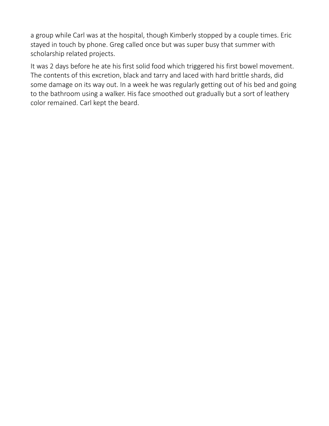a group while Carl was at the hospital, though Kimberly stopped by a couple times. Eric stayed in touch by phone. Greg called once but was super busy that summer with scholarship related projects.

It was 2 days before he ate his first solid food which triggered his first bowel movement. The contents of this excretion, black and tarry and laced with hard brittle shards, did some damage on its way out. In a week he was regularly getting out of his bed and going to the bathroom using a walker. His face smoothed out gradually but a sort of leathery color remained. Carl kept the beard.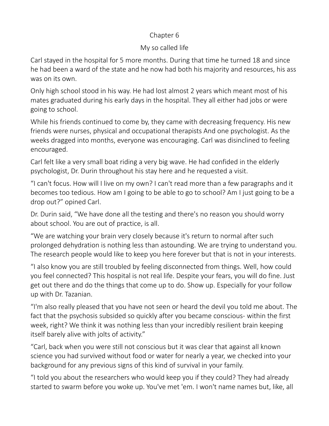## Chapter 6

## My so called life

Carl stayed in the hospital for 5 more months. During that time he turned 18 and since he had been a ward of the state and he now had both his majority and resources, his ass was on its own.

Only high school stood in his way. He had lost almost 2 years which meant most of his mates graduated during his early days in the hospital. They all either had jobs or were going to school.

While his friends continued to come by, they came with decreasing frequency. His new friends were nurses, physical and occupational therapists And one psychologist. As the weeks dragged into months, everyone was encouraging. Carl was disinclined to feeling encouraged.

Carl felt like a very small boat riding a very big wave. He had confided in the elderly psychologist, Dr. Durin throughout his stay here and he requested a visit.

"I can't focus. How will I live on my own? I can't read more than a few paragraphs and it becomes too tedious. How am I going to be able to go to school? Am I just going to be a drop out?" opined Carl.

Dr. Durin said, "We have done all the testing and there's no reason you should worry about school. You are out of practice, is all.

"We are watching your brain very closely because it's return to normal after such prolonged dehydration is nothing less than astounding. We are trying to understand you. The research people would like to keep you here forever but that is not in your interests.

"I also know you are still troubled by feeling disconnected from things. Well, how could you feel connected? This hospital is not real life. Despite your fears, you will do fine. Just get out there and do the things that come up to do. Show up. Especially for your follow up with Dr. Tazanian.

"I'm also really pleased that you have not seen or heard the devil you told me about. The fact that the psychosis subsided so quickly after you became conscious- within the first week, right? We think it was nothing less than your incredibly resilient brain keeping itself barely alive with jolts of activity."

"Carl, back when you were still not conscious but it was clear that against all known science you had survived without food or water for nearly a year, we checked into your background for any previous signs of this kind of survival in your family.

"I told you about the researchers who would keep you if they could? They had already started to swarm before you woke up. You've met 'em. I won't name names but, like, all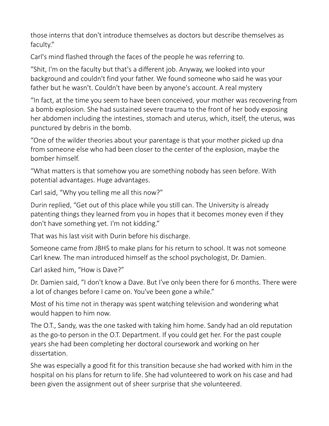those interns that don't introduce themselves as doctors but describe themselves as faculty."

Carl's mind flashed through the faces of the people he was referring to.

"Shit, I'm on the faculty but that's a different job. Anyway, we looked into your background and couldn't find your father. We found someone who said he was your father but he wasn't. Couldn't have been by anyone's account. A real mystery

"In fact, at the time you seem to have been conceived, your mother was recovering from a bomb explosion. She had sustained severe trauma to the front of her body exposing her abdomen including the intestines, stomach and uterus, which, itself, the uterus, was punctured by debris in the bomb.

"One of the wilder theories about your parentage is that your mother picked up dna from someone else who had been closer to the center of the explosion, maybe the bomber himself.

"What matters is that somehow you are something nobody has seen before. With potential advantages. Huge advantages.

Carl said, "Why you telling me all this now?"

Durin replied, "Get out of this place while you still can. The University is already patenting things they learned from you in hopes that it becomes money even if they don't have something yet. I'm not kidding."

That was his last visit with Durin before his discharge.

Someone came from JBHS to make plans for his return to school. It was not someone Carl knew. The man introduced himself as the school psychologist, Dr. Damien.

Carl asked him, "How is Dave?"

Dr. Damien said, "I don't know a Dave. But I've only been there for 6 months. There were a lot of changes before I came on. You've been gone a while."

Most of his time not in therapy was spent watching television and wondering what would happen to him now.

The O.T., Sandy, was the one tasked with taking him home. Sandy had an old reputation as the go-to person in the O.T. Department. If you could get her. For the past couple years she had been completing her doctoral coursework and working on her dissertation.

She was especially a good fit for this transition because she had worked with him in the hospital on his plans for return to life. She had volunteered to work on his case and had been given the assignment out of sheer surprise that she volunteered.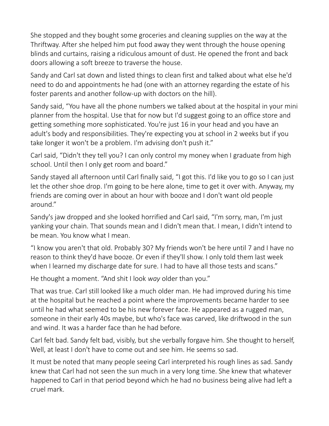She stopped and they bought some groceries and cleaning supplies on the way at the Thriftway. After she helped him put food away they went through the house opening blinds and curtains, raising a ridiculous amount of dust. He opened the front and back doors allowing a soft breeze to traverse the house.

Sandy and Carl sat down and listed things to clean first and talked about what else he'd need to do and appointments he had (one with an attorney regarding the estate of his foster parents and another follow-up with doctors on the hill).

Sandy said, "You have all the phone numbers we talked about at the hospital in your mini planner from the hospital. Use that for now but I'd suggest going to an office store and getting something more sophisticated. You're just 16 in your head and you have an adult's body and responsibilities. They're expecting you at school in 2 weeks but if you take longer it won't be a problem. I'm advising don't push it."

Carl said, "Didn't they tell you? I can only control my money when I graduate from high school. Until then I only get room and board."

Sandy stayed all afternoon until Carl finally said, "I got this. I'd like you to go so I can just let the other shoe drop. I'm going to be here alone, time to get it over with. Anyway, my friends are coming over in about an hour with booze and I don't want old people around."

Sandy's jaw dropped and she looked horrified and Carl said, "I'm sorry, man, I'm just yanking your chain. That sounds mean and I didn't mean that. I mean, I didn't intend to be mean. You know what I mean.

"I know you aren't that old. Probably 30? My friends won't be here until 7 and I have no reason to think they'd have booze. Or even if they'll show. I only told them last week when I learned my discharge date for sure. I had to have all those tests and scans."

He thought a moment. "And shit I look *way* older than you."

That was true. Carl still looked like a much older man. He had improved during his time at the hospital but he reached a point where the improvements became harder to see until he had what seemed to be his new forever face. He appeared as a rugged man, someone in their early 40s maybe, but who's face was carved, like driftwood in the sun and wind. It was a harder face than he had before.

Carl felt bad. Sandy felt bad, visibly, but she verbally forgave him. She thought to herself, Well, at least I don't have to come out and see him. He seems so sad.

It must be noted that many people seeing Carl interpreted his rough lines as sad. Sandy knew that Carl had not seen the sun much in a very long time. She knew that whatever happened to Carl in that period beyond which he had no business being alive had left a cruel mark.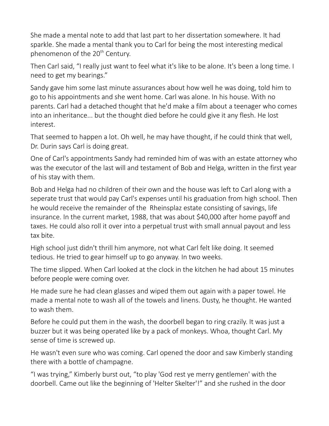She made a mental note to add that last part to her dissertation somewhere. It had sparkle. She made a mental thank you to Carl for being the most interesting medical phenomenon of the 20<sup>th</sup> Century.

Then Carl said, "I really just want to feel what it's like to be alone. It's been a long time. I need to get my bearings."

Sandy gave him some last minute assurances about how well he was doing, told him to go to his appointments and she went home. Carl was alone. In his house. With no parents. Carl had a detached thought that he'd make a film about a teenager who comes into an inheritance... but the thought died before he could give it any flesh. He lost interest.

That seemed to happen a lot. Oh well, he may have thought, if he could think that well, Dr. Durin says Carl is doing great.

One of Carl's appointments Sandy had reminded him of was with an estate attorney who was the executor of the last will and testament of Bob and Helga, written in the first year of his stay with them.

Bob and Helga had no children of their own and the house was left to Carl along with a seperate trust that would pay Carl's expenses until his graduation from high school. Then he would receive the remainder of the Rheinsplaz estate consisting of savings, life insurance. In the current market, 1988, that was about \$40,000 after home payoff and taxes. He could also roll it over into a perpetual trust with small annual payout and less tax bite.

High school just didn't thrill him anymore, not what Carl felt like doing. It seemed tedious. He tried to gear himself up to go anyway. In two weeks.

The time slipped. When Carl looked at the clock in the kitchen he had about 15 minutes before people were coming over.

He made sure he had clean glasses and wiped them out again with a paper towel. He made a mental note to wash all of the towels and linens. Dusty, he thought. He wanted to wash them.

Before he could put them in the wash, the doorbell began to ring crazily. It was just a buzzer but it was being operated like by a pack of monkeys. Whoa, thought Carl. My sense of time is screwed up.

He wasn't even sure who was coming. Carl opened the door and saw Kimberly standing there with a bottle of champagne.

"I was trying," Kimberly burst out, "to play 'God rest ye merry gentlemen' with the doorbell. Came out like the beginning of 'Helter Skelter'!" and she rushed in the door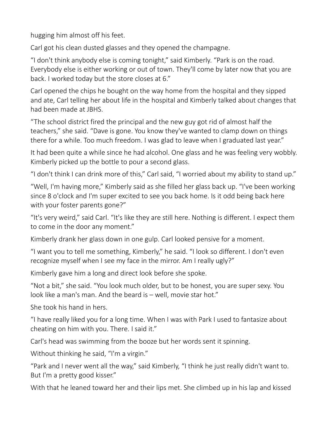hugging him almost off his feet.

Carl got his clean dusted glasses and they opened the champagne.

"I don't think anybody else is coming tonight," said Kimberly. "Park is on the road. Everybody else is either working or out of town. They'll come by later now that you are back. I worked today but the store closes at 6."

Carl opened the chips he bought on the way home from the hospital and they sipped and ate, Carl telling her about life in the hospital and Kimberly talked about changes that had been made at JBHS.

"The school district fired the principal and the new guy got rid of almost half the teachers," she said. "Dave is gone. You know they've wanted to clamp down on things there for a while. Too much freedom. I was glad to leave when I graduated last year."

It had been quite a while since he had alcohol. One glass and he was feeling very wobbly. Kimberly picked up the bottle to pour a second glass.

"I don't think I can drink more of this," Carl said, "I worried about my ability to stand up."

"Well, I'm having more," Kimberly said as she filled her glass back up. "I've been working since 8 o'clock and I'm super excited to see you back home. Is it odd being back here with your foster parents gone?"

"It's very weird," said Carl. "It's like they are still here. Nothing is different. I expect them to come in the door any moment."

Kimberly drank her glass down in one gulp. Carl looked pensive for a moment.

"I want you to tell me something, Kimberly," he said. "I look so different. I don't even recognize myself when I see my face in the mirror. Am I really ugly?"

Kimberly gave him a long and direct look before she spoke.

"Not a bit," she said. "You look much older, but to be honest, you are super sexy. You look like a man's man. And the beard is – well, movie star hot."

She took his hand in hers.

"I have really liked you for a long time. When I was with Park I used to fantasize about cheating on him with you. There. I said it."

Carl's head was swimming from the booze but her words sent it spinning.

Without thinking he said, "I'm a virgin."

"Park and I never went all the way," said Kimberly, "I think he just really didn't want to. But I'm a pretty good kisser."

With that he leaned toward her and their lips met. She climbed up in his lap and kissed